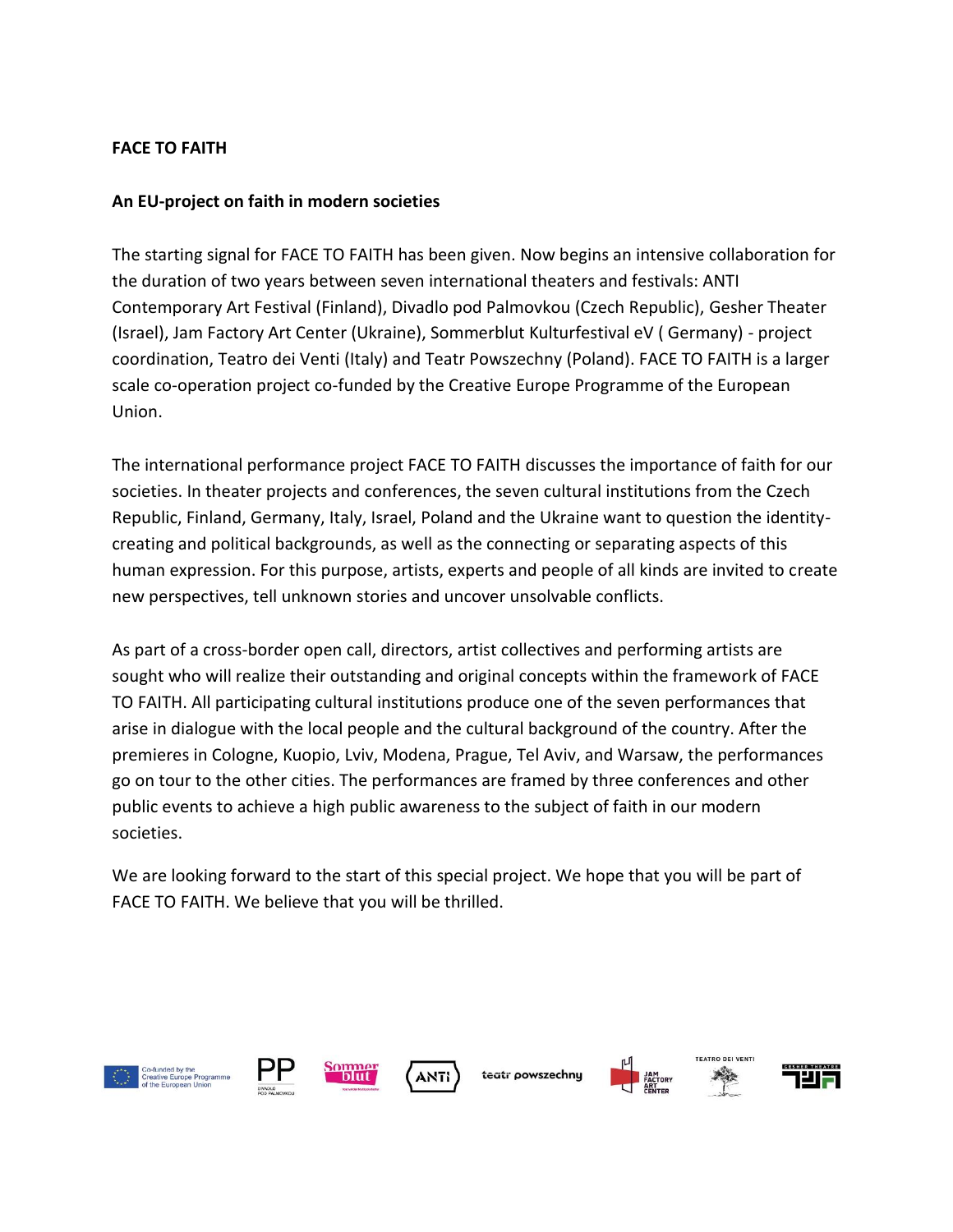### **FACE TO FAITH**

#### **An EU-project on faith in modern societies**

The starting signal for FACE TO FAITH has been given. Now begins an intensive collaboration for the duration of two years between seven international theaters and festivals: ANTI Contemporary Art Festival (Finland), Divadlo pod Palmovkou (Czech Republic), Gesher Theater (Israel), Jam Factory Art Center (Ukraine), Sommerblut Kulturfestival eV ( Germany) - project coordination, Teatro dei Venti (Italy) and Teatr Powszechny (Poland). FACE TO FAITH is a larger scale co-operation project co-funded by the Creative Europe Programme of the European Union.

The international performance project FACE TO FAITH discusses the importance of faith for our societies. In theater projects and conferences, the seven cultural institutions from the Czech Republic, Finland, Germany, Italy, Israel, Poland and the Ukraine want to question the identitycreating and political backgrounds, as well as the connecting or separating aspects of this human expression. For this purpose, artists, experts and people of all kinds are invited to create new perspectives, tell unknown stories and uncover unsolvable conflicts.

As part of a cross-border open call, directors, artist collectives and performing artists are sought who will realize their outstanding and original concepts within the framework of FACE TO FAITH. All participating cultural institutions produce one of the seven performances that arise in dialogue with the local people and the cultural background of the country. After the premieres in Cologne, Kuopio, Lviv, Modena, Prague, Tel Aviv, and Warsaw, the performances go on tour to the other cities. The performances are framed by three conferences and other public events to achieve a high public awareness to the subject of faith in our modern societies.

We are looking forward to the start of this special project. We hope that you will be part of FACE TO FAITH. We believe that you will be thrilled.







teatr powszechnu





**ANTI**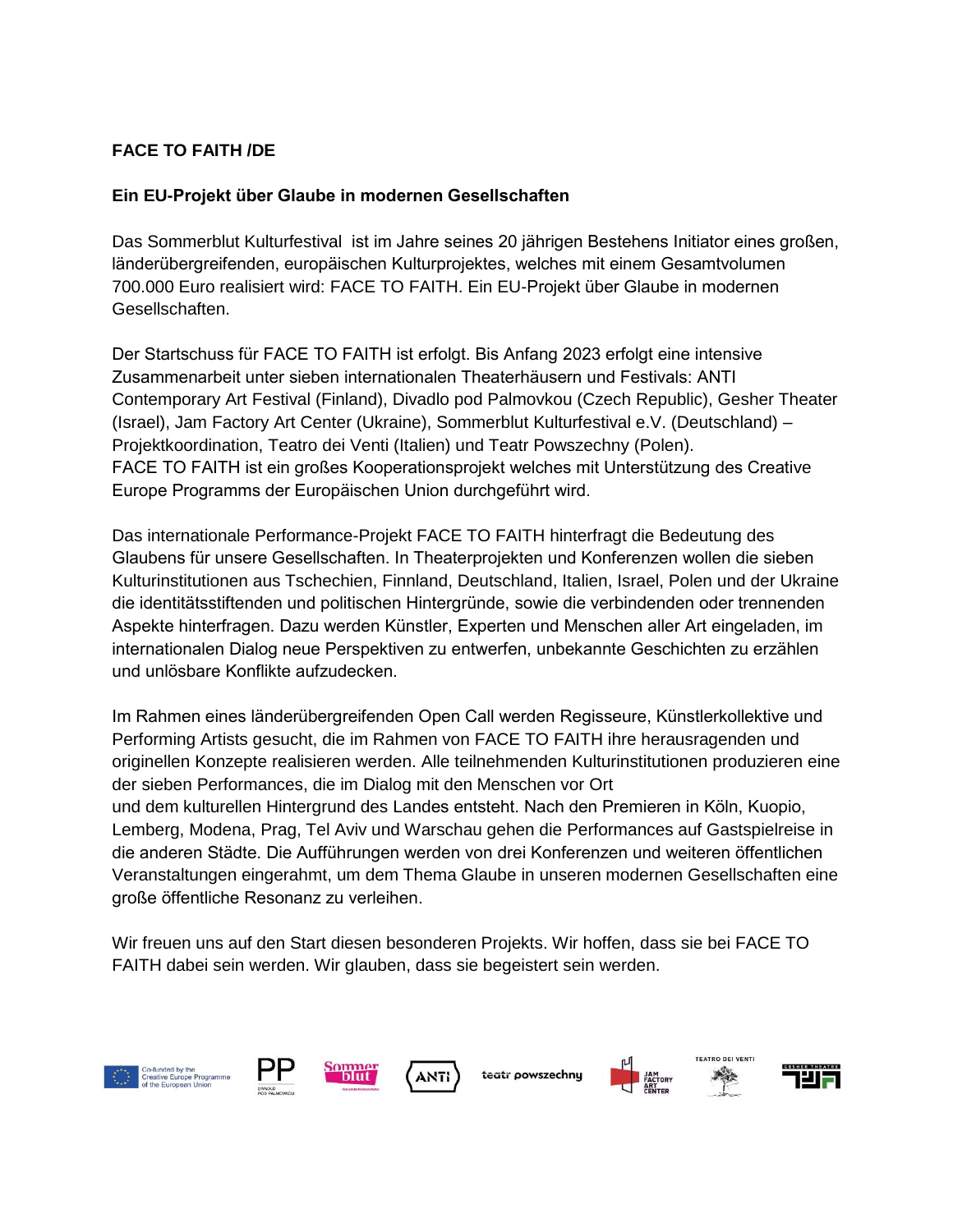# **FACE TO FAITH /DE**

### **Ein EU-Projekt über Glaube in modernen Gesellschaften**

Das Sommerblut Kulturfestival ist im Jahre seines 20 jährigen Bestehens Initiator eines großen, länderübergreifenden, europäischen Kulturprojektes, welches mit einem Gesamtvolumen 700.000 Euro realisiert wird: FACE TO FAITH. Ein EU-Projekt über Glaube in modernen Gesellschaften.

Der Startschuss für FACE TO FAITH ist erfolgt. Bis Anfang 2023 erfolgt eine intensive Zusammenarbeit unter sieben internationalen Theaterhäusern und Festivals: ANTI Contemporary Art Festival (Finland), Divadlo pod Palmovkou (Czech Republic), Gesher Theater (Israel), Jam Factory Art Center (Ukraine), Sommerblut Kulturfestival e.V. (Deutschland) – Projektkoordination, Teatro dei Venti (Italien) und Teatr Powszechny (Polen). FACE TO FAITH ist ein großes Kooperationsprojekt welches mit Unterstützung des Creative Europe Programms der Europäischen Union durchgeführt wird.

Das internationale Performance-Projekt FACE TO FAITH hinterfragt die Bedeutung des Glaubens für unsere Gesellschaften. In Theaterprojekten und Konferenzen wollen die sieben Kulturinstitutionen aus Tschechien, Finnland, Deutschland, Italien, Israel, Polen und der Ukraine die identitätsstiftenden und politischen Hintergründe, sowie die verbindenden oder trennenden Aspekte hinterfragen. Dazu werden Künstler, Experten und Menschen aller Art eingeladen, im internationalen Dialog neue Perspektiven zu entwerfen, unbekannte Geschichten zu erzählen und unlösbare Konflikte aufzudecken.

Im Rahmen eines länderübergreifenden Open Call werden Regisseure, Künstlerkollektive und Performing Artists gesucht, die im Rahmen von FACE TO FAITH ihre herausragenden und originellen Konzepte realisieren werden. Alle teilnehmenden Kulturinstitutionen produzieren eine der sieben Performances, die im Dialog mit den Menschen vor Ort und dem kulturellen Hintergrund des Landes entsteht. Nach den Premieren in Köln, Kuopio, Lemberg, Modena, Prag, Tel Aviv und Warschau gehen die Performances auf Gastspielreise in die anderen Städte. Die Aufführungen werden von drei Konferenzen und weiteren öffentlichen Veranstaltungen eingerahmt, um dem Thema Glaube in unseren modernen Gesellschaften eine große öffentliche Resonanz zu verleihen.

Wir freuen uns auf den Start diesen besonderen Projekts. Wir hoffen, dass sie bei FACE TO FAITH dabei sein werden. Wir glauben, dass sie begeistert sein werden.

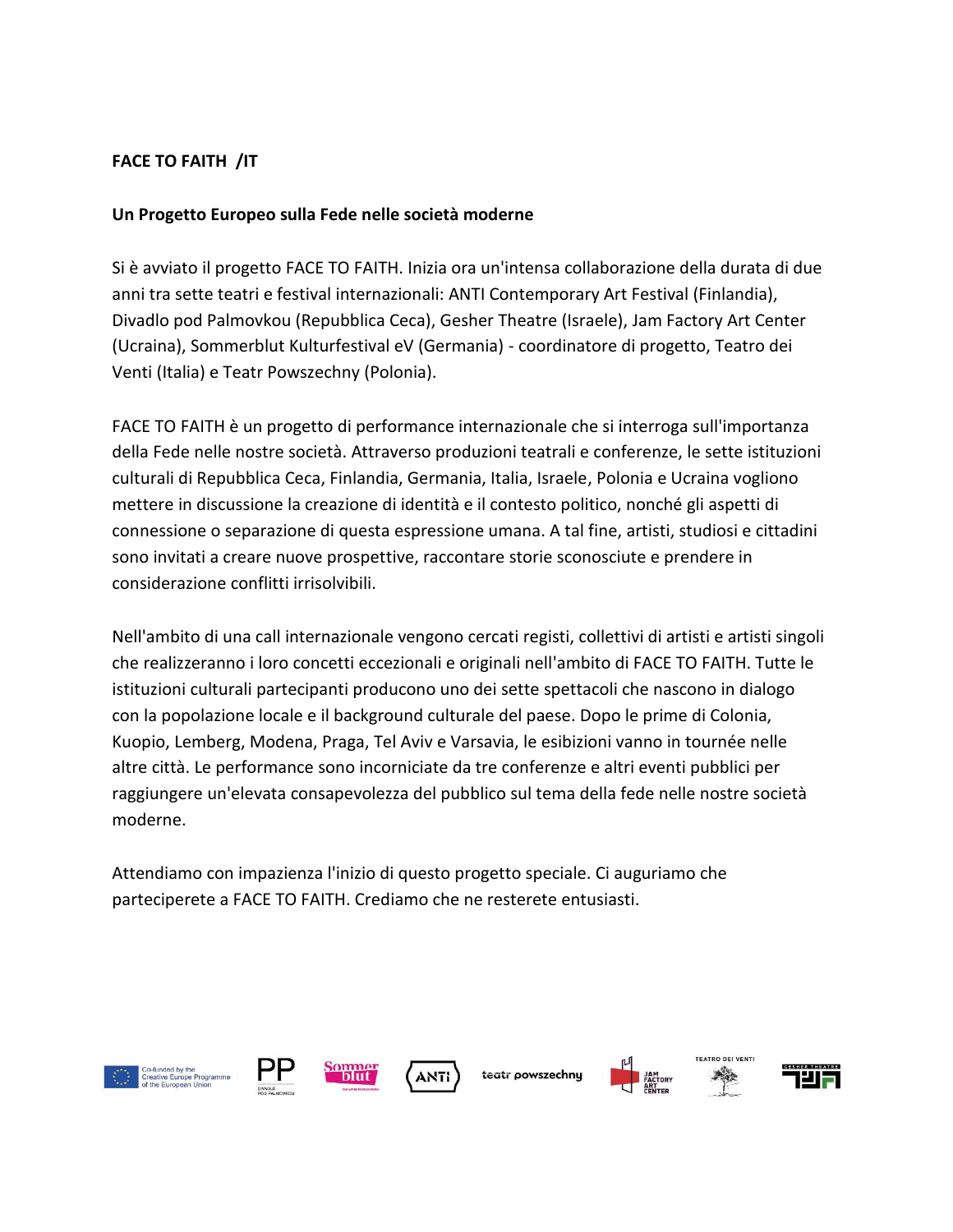### **FACE TO FAITH /IT**

#### **Un Progetto Europeo sulla Fede nelle società moderne**

Si è avviato il progetto FACE TO FAITH. Inizia ora un'intensa collaborazione della durata di due anni tra sette teatri e festival internazionali: ANTI Contemporary Art Festival (Finlandia), Divadlo pod Palmovkou (Repubblica Ceca), Gesher Theatre (Israele), Jam Factory Art Center (Ucraina), Sommerblut Kulturfestival eV (Germania) - coordinatore di progetto, Teatro dei Venti (Italia) e Teatr Powszechny (Polonia).

FACE TO FAITH è un progetto di performance internazionale che si interroga sull'importanza della Fede nelle nostre società. Attraverso produzioni teatrali e conferenze, le sette istituzioni culturali di Repubblica Ceca, Finlandia, Germania, Italia, Israele, Polonia e Ucraina vogliono mettere in discussione la creazione di identità e il contesto politico, nonché gli aspetti di connessione o separazione di questa espressione umana. A tal fine, artisti, studiosi e cittadini sono invitati a creare nuove prospettive, raccontare storie sconosciute e prendere in considerazione conflitti irrisolvibili.

Nell'ambito di una call internazionale vengono cercati registi, collettivi di artisti e artisti singoli che realizzeranno i loro concetti eccezionali e originali nell'ambito di FACE TO FAITH. Tutte le istituzioni culturali partecipanti producono uno dei sette spettacoli che nascono in dialogo con la popolazione locale e il background culturale del paese. Dopo le prime di Colonia, Kuopio, Lemberg, Modena, Praga, Tel Aviv e Varsavia, le esibizioni vanno in tournée nelle altre città. Le performance sono incorniciate da tre conferenze e altri eventi pubblici per raggiungere un'elevata consapevolezza del pubblico sul tema della fede nelle nostre società moderne.

Attendiamo con impazienza l'inizio di questo progetto speciale. Ci auguriamo che parteciperete a FACE TO FAITH. Crediamo che ne resterete entusiasti.







teatr powszechnu





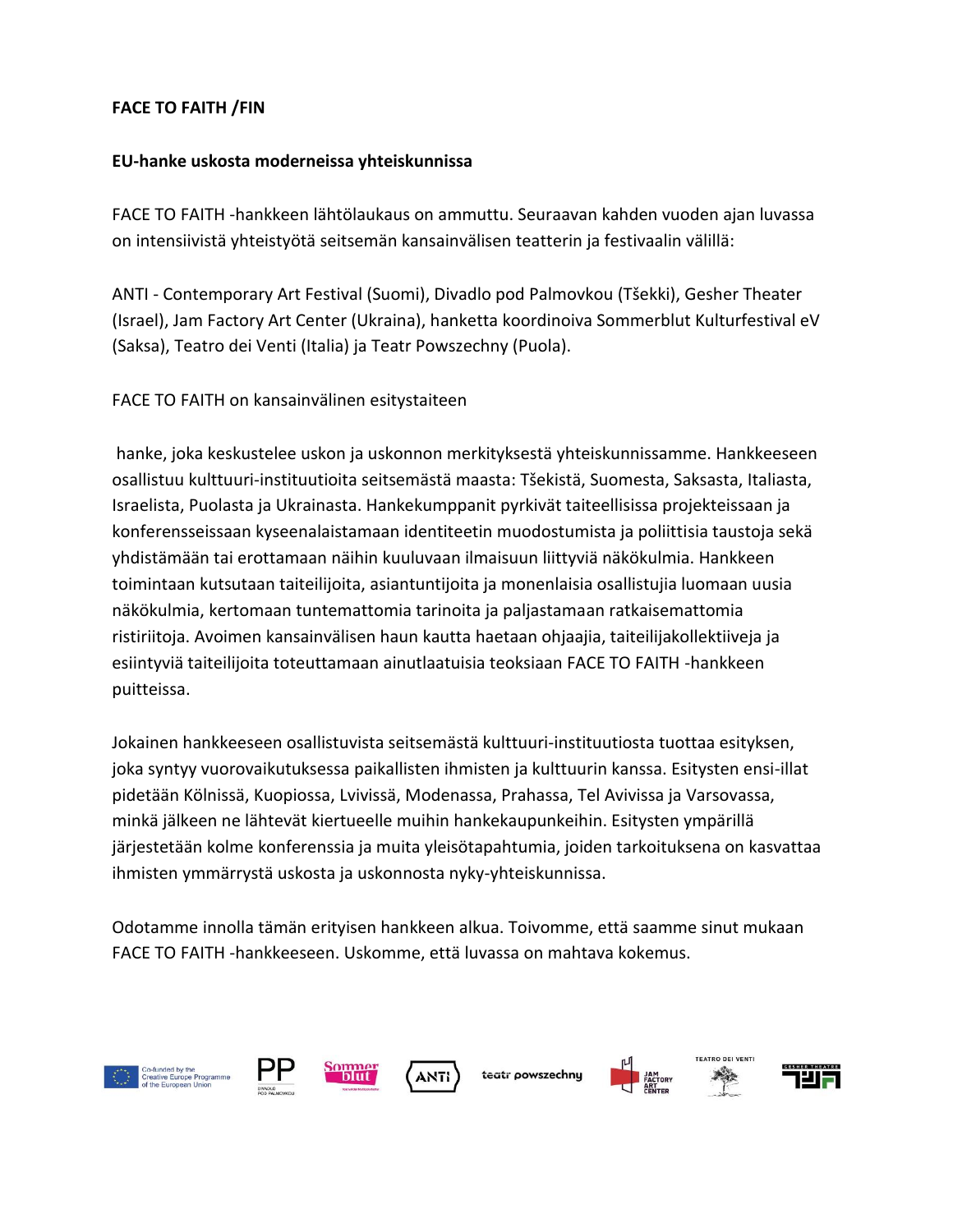# **FACE TO FAITH /FIN**

### **EU-hanke uskosta moderneissa yhteiskunnissa**

FACE TO FAITH -hankkeen lähtölaukaus on ammuttu. Seuraavan kahden vuoden ajan luvassa on intensiivistä yhteistyötä seitsemän kansainvälisen teatterin ja festivaalin välillä:

ANTI - Contemporary Art Festival (Suomi), Divadlo pod Palmovkou (Tšekki), Gesher Theater (Israel), Jam Factory Art Center (Ukraina), hanketta koordinoiva Sommerblut Kulturfestival eV (Saksa), Teatro dei Venti (Italia) ja Teatr Powszechny (Puola).

FACE TO FAITH on kansainvälinen esitystaiteen

hanke, joka keskustelee uskon ja uskonnon merkityksestä yhteiskunnissamme. Hankkeeseen osallistuu kulttuuri-instituutioita seitsemästä maasta: Tšekistä, Suomesta, Saksasta, Italiasta, Israelista, Puolasta ja Ukrainasta. Hankekumppanit pyrkivät taiteellisissa projekteissaan ja konferensseissaan kyseenalaistamaan identiteetin muodostumista ja poliittisia taustoja sekä yhdistämään tai erottamaan näihin kuuluvaan ilmaisuun liittyviä näkökulmia. Hankkeen toimintaan kutsutaan taiteilijoita, asiantuntijoita ja monenlaisia osallistujia luomaan uusia näkökulmia, kertomaan tuntemattomia tarinoita ja paljastamaan ratkaisemattomia ristiriitoja. Avoimen kansainvälisen haun kautta haetaan ohjaajia, taiteilijakollektiiveja ja esiintyviä taiteilijoita toteuttamaan ainutlaatuisia teoksiaan FACE TO FAITH -hankkeen puitteissa.

Jokainen hankkeeseen osallistuvista seitsemästä kulttuuri-instituutiosta tuottaa esityksen, joka syntyy vuorovaikutuksessa paikallisten ihmisten ja kulttuurin kanssa. Esitysten ensi-illat pidetään Kölnissä, Kuopiossa, Lvivissä, Modenassa, Prahassa, Tel Avivissa ja Varsovassa, minkä jälkeen ne lähtevät kiertueelle muihin hankekaupunkeihin. Esitysten ympärillä järjestetään kolme konferenssia ja muita yleisötapahtumia, joiden tarkoituksena on kasvattaa ihmisten ymmärrystä uskosta ja uskonnosta nyky-yhteiskunnissa.

Odotamme innolla tämän erityisen hankkeen alkua. Toivomme, että saamme sinut mukaan FACE TO FAITH -hankkeeseen. Uskomme, että luvassa on mahtava kokemus.









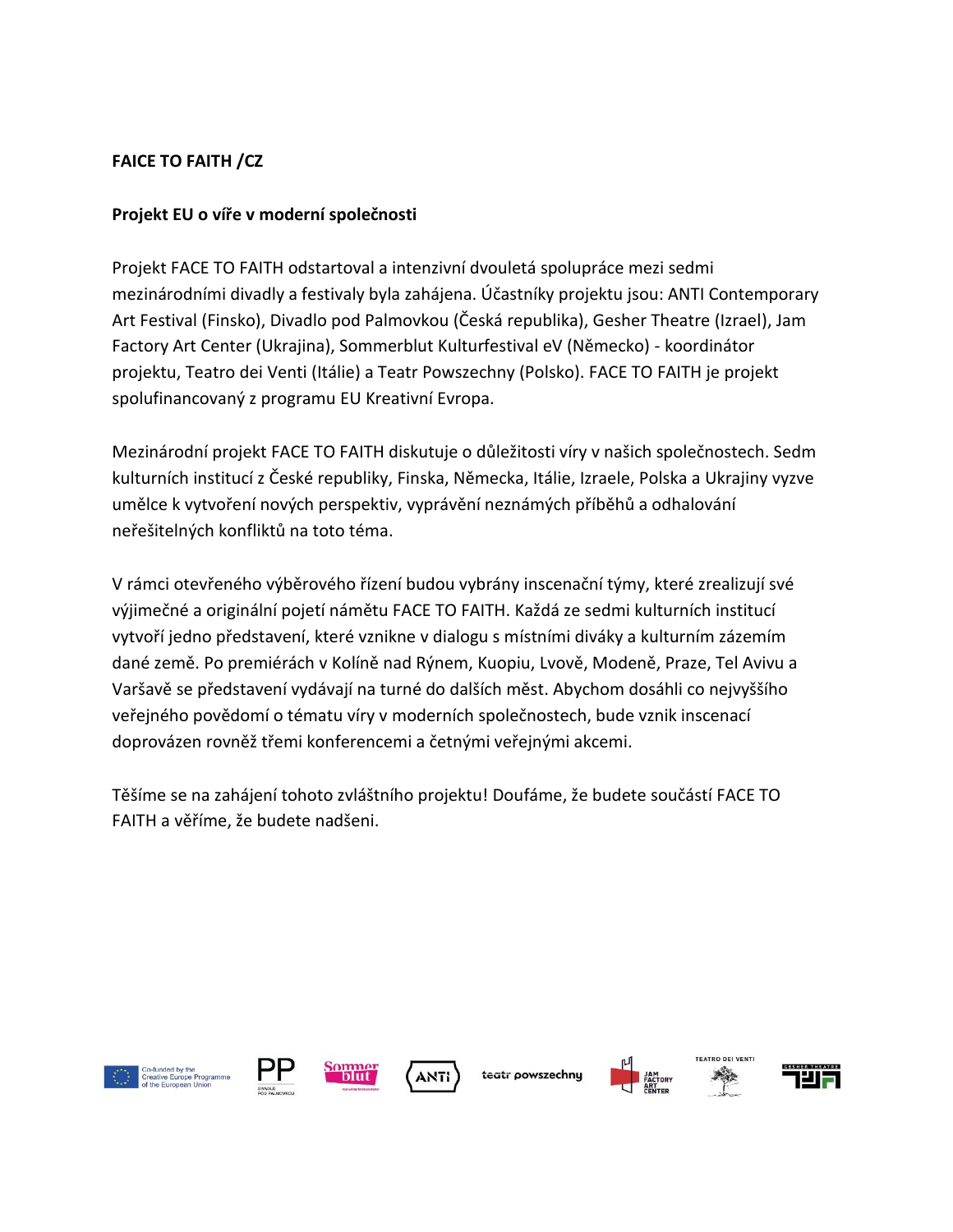# **FAICE TO FAITH /CZ**

### **Projekt EU o víře v moderní společnosti**

Projekt FACE TO FAITH odstartoval a intenzivní dvouletá spolupráce mezi sedmi mezinárodními divadly a festivaly byla zahájena. Účastníky projektu jsou: ANTI Contemporary Art Festival (Finsko), Divadlo pod Palmovkou (Česká republika), Gesher Theatre (Izrael), Jam Factory Art Center (Ukrajina), Sommerblut Kulturfestival eV (Německo) - koordinátor projektu, Teatro dei Venti (Itálie) a Teatr Powszechny (Polsko). FACE TO FAITH je projekt spolufinancovaný z programu EU Kreativní Evropa.

Mezinárodní projekt FACE TO FAITH diskutuje o důležitosti víry v našich společnostech. Sedm kulturních institucí z České republiky, Finska, Německa, Itálie, Izraele, Polska a Ukrajiny vyzve umělce k vytvoření nových perspektiv, vyprávění neznámých příběhů a odhalování neřešitelných konfliktů na toto téma.

V rámci otevřeného výběrového řízení budou vybrány inscenační týmy, které zrealizují své výjimečné a originální pojetí námětu FACE TO FAITH. Každá ze sedmi kulturních institucí vytvoří jedno představení, které vznikne v dialogu s místními diváky a kulturním zázemím dané země. Po premiérách v Kolíně nad Rýnem, Kuopiu, Lvově, Modeně, Praze, Tel Avivu a Varšavě se představení vydávají na turné do dalších měst. Abychom dosáhli co nejvyššího veřejného povědomí o tématu víry v moderních společnostech, bude vznik inscenací doprovázen rovněž třemi konferencemi a četnými veřejnými akcemi.

Těšíme se na zahájení tohoto zvláštního projektu! Doufáme, že budete součástí FACE TO FAITH a věříme, že budete nadšeni.







teatr powszechnu





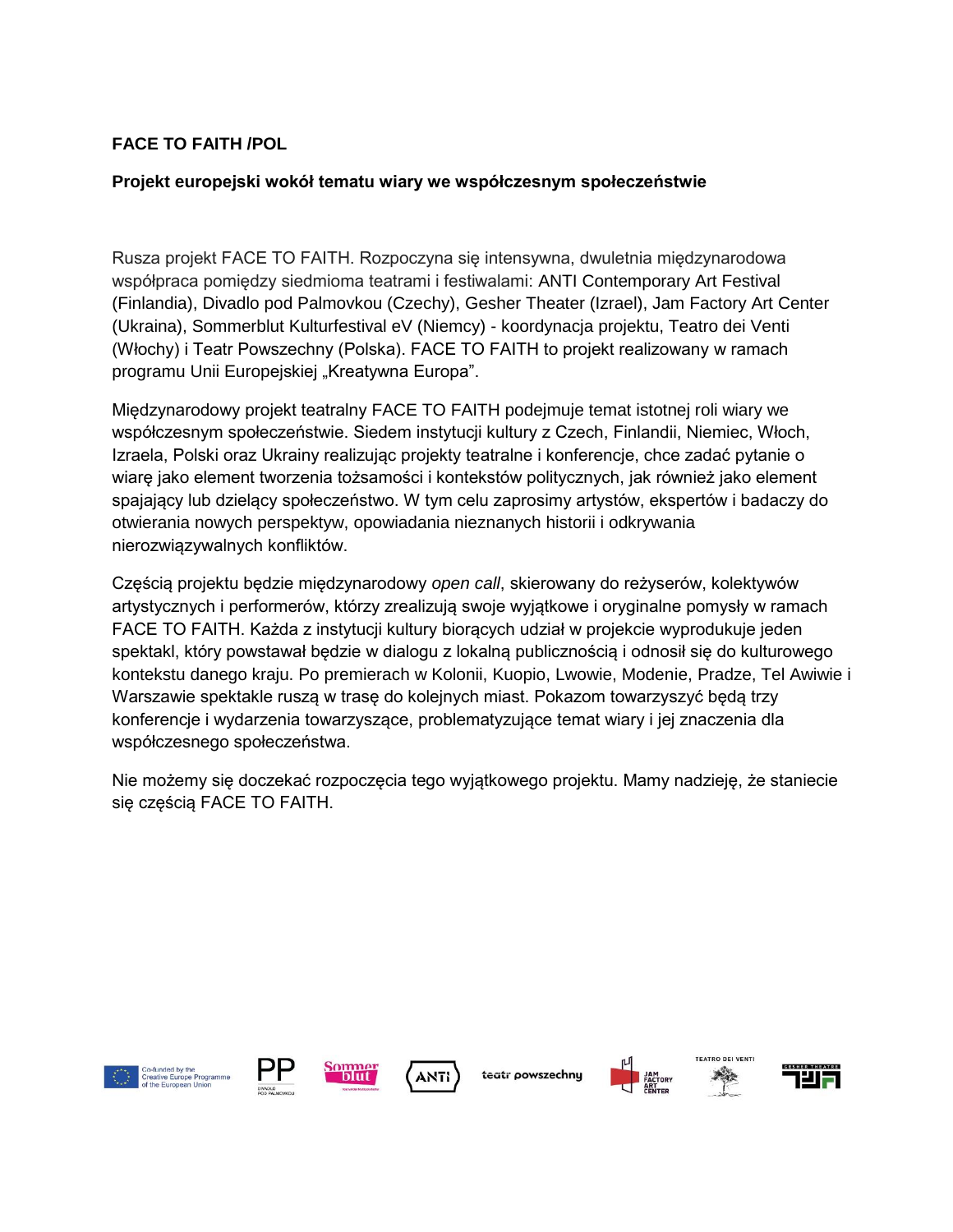### **FACE TO FAITH /POL**

#### **Projekt europejski wokół tematu wiary we współczesnym społeczeństwie**

Rusza projekt FACE TO FAITH. Rozpoczyna się intensywna, dwuletnia międzynarodowa współpraca pomiędzy siedmioma teatrami i festiwalami: ANTI Contemporary Art Festival (Finlandia), Divadlo pod Palmovkou (Czechy), Gesher Theater (Izrael), Jam Factory Art Center (Ukraina), Sommerblut Kulturfestival eV (Niemcy) - koordynacja projektu, Teatro dei Venti (Włochy) i Teatr Powszechny (Polska). FACE TO FAITH to projekt realizowany w ramach programu Unii Europejskiej "Kreatywna Europa".

Międzynarodowy projekt teatralny FACE TO FAITH podejmuje temat istotnej roli wiary we współczesnym społeczeństwie. Siedem instytucji kultury z Czech, Finlandii, Niemiec, Włoch, Izraela, Polski oraz Ukrainy realizując projekty teatralne i konferencje, chce zadać pytanie o wiarę jako element tworzenia tożsamości i kontekstów politycznych, jak również jako element spajający lub dzielący społeczeństwo. W tym celu zaprosimy artystów, ekspertów i badaczy do otwierania nowych perspektyw, opowiadania nieznanych historii i odkrywania nierozwiązywalnych konfliktów.

Częścią projektu będzie międzynarodowy *open call*, skierowany do reżyserów, kolektywów artystycznych i performerów, którzy zrealizują swoje wyjątkowe i oryginalne pomysły w ramach FACE TO FAITH. Każda z instytucji kultury biorących udział w projekcie wyprodukuje jeden spektakl, który powstawał będzie w dialogu z lokalną publicznością i odnosił się do kulturowego kontekstu danego kraju. Po premierach w Kolonii, Kuopio, Lwowie, Modenie, Pradze, Tel Awiwie i Warszawie spektakle ruszą w trasę do kolejnych miast. Pokazom towarzyszyć będą trzy konferencje i wydarzenia towarzyszące, problematyzujące temat wiary i jej znaczenia dla współczesnego społeczeństwa.

Nie możemy się doczekać rozpoczęcia tego wyjątkowego projektu. Mamy nadzieję, że staniecie się częścią FACE TO FAITH.







teatr powszechny



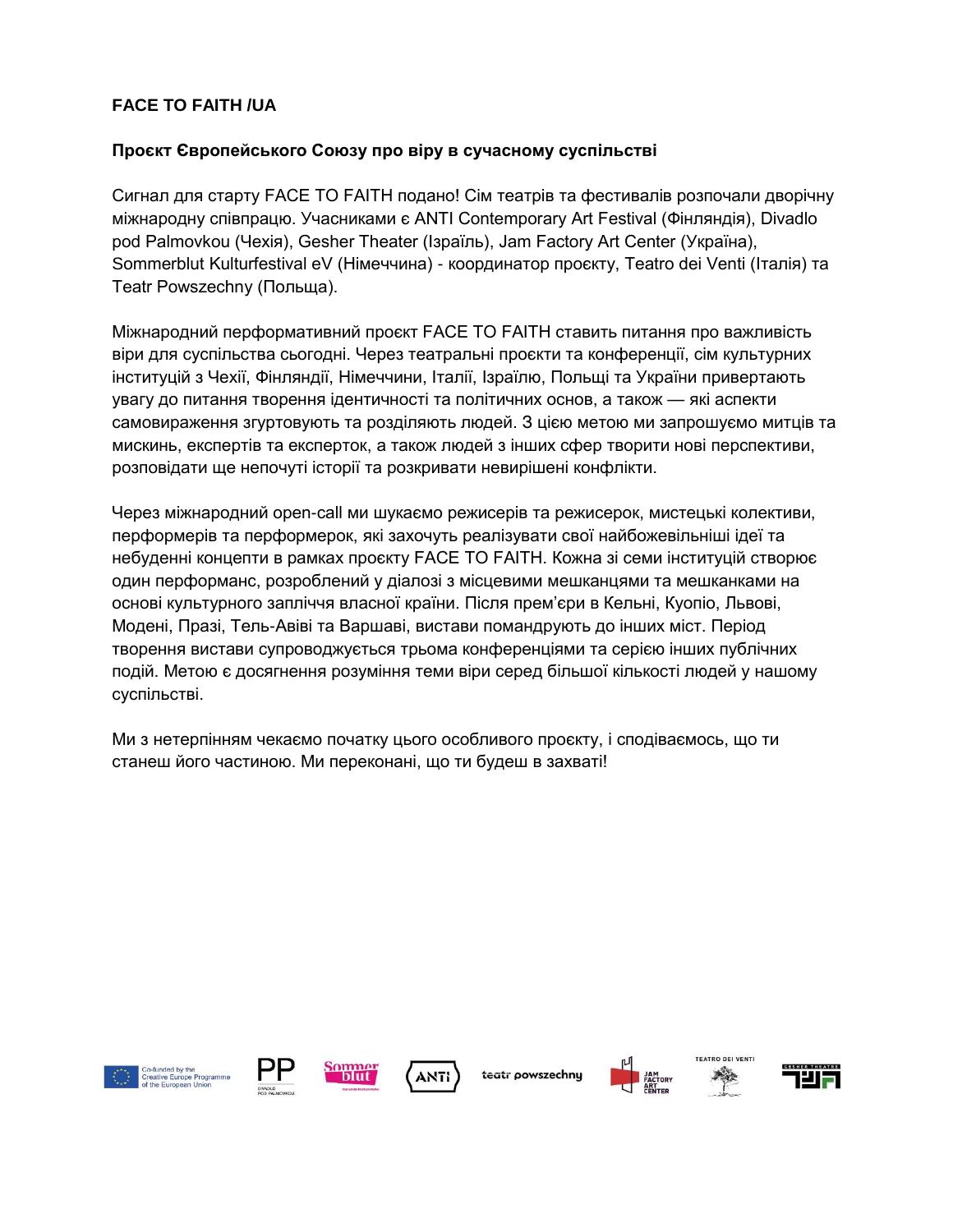# **FACE TO FAITH /UA**

### **Проєкт Європейського Союзу про віру в сучасному суспільстві**

Сигнал для старту FACE TO FAITH подано! Сім театрів та фестивалів розпочали дворічну міжнародну співпрацю. Учасниками є ANTI Contemporary Art Festival (Фінляндія), Divadlo pod Palmovkou (Чехія), Gesher Theater (Ізраїль), Jam Factory Art Center (Україна), Sommerblut Kulturfestival eV (Німеччина) - координатор проєкту, Teatro dei Venti (Італія) та Teatr Powszechny (Польща).

Міжнародний перформативний проєкт FACE TO FAITH ставить питання про важливість віри для суспільства сьогодні. Через театральні проєкти та конференції, сім культурних інституцій з Чехії, Фінляндії, Німеччини, Італії, Ізраїлю, Польщі та України привертають увагу до питання творення ідентичності та політичних основ, а також — які аспекти самовираження згуртовують та розділяють людей. З цією метою ми запрошуємо митців та мискинь, експертів та експерток, а також людей з інших сфер творити нові перспективи, розповідати ще непочуті історії та розкривати невирішені конфлікти.

Через міжнародний open-call ми шукаємо режисерів та режисерок, мистецькі колективи, перформерів та перформерок, які захочуть реалізувати свої найбожевільніші ідеї та небуденні концепти в рамках проєкту FACE TO FAITH. Кожна зі семи інституцій створює один перформанс, розроблений у діалозі з місцевими мешканцями та мешканками на основі культурного запліччя власної країни. Після прем'єри в Кельні, Куопіо, Львові, Модені, Празі, Тель-Авіві та Варшаві, вистави помандрують до інших міст. Період творення вистави супроводжується трьома конференціями та серією інших публічних подій. Метою є досягнення розуміння теми віри серед більшої кількості людей у нашому суспільстві.

Ми з нетерпінням чекаємо початку цього особливого проєкту, і сподіваємось, що ти станеш його частиною. Ми переконані, що ти будеш в захваті!







teatr powszechnu